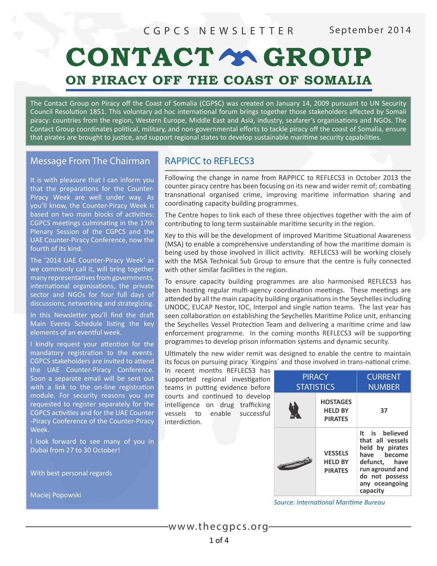### CGPCS NEWSLETTER September 2014

# CONTACT Y GROUP ON PIRACY OFF THE COAST OF SOMALIA

The Contact Group on Piracy off the Coast of Somalia (CGPSC) was created on January 14, 2009 pursuant to UN Security Council Resolution 1851. This voluntary ad hoc international forum brings together those stakeholders affected by Somali piracy: countries from the region, Western Europe, Middle East and Asia, industry, seafarer's organisations and NGOs. The Contact Group coordinates political, military, and non-governmental efforts to tackle piracy off the coast of Somalia, ensure that pirates are brought to justice, and support regional states to develop sustainable maritime security capabilities.

#### Message From The Chairman

It is with pleasure that I can inform you that the preparations for the Counter-Piracy Week are well under way. As you'll know, the Counter-Piracy Week is based on two main blocks of activities: CGPCS meetings culminating in the 17th Plenary Session of the CGPCS and the UAE Counter-Piracy Conference, now the fourth of its kind.

The '2014 UAE Counter-Piracy Week' as we commonly call it, will bring together many representatives from governments, international organisations, the private sector and NGOs for four full days of discussions, networking and strategizing.

In this Newsletter you'll find the draft Main Events Schedule listing the key elements of an eventful week.

I kindly request your attention for the mandatory registration to the events. CGPCS stakeholders are invited to attend the UAE Counter-Piracy Conference. Soon a separate email will be sent out with a link to the on-line registration module. For security reasons you are requested to register separately for the CGPCS activities and for the UAE Counter -Piracy Conference of the Counter-Piracy Week.

I look forward to see many of you in Dubai from 27 to 30 October!

With best personal regards

Maciej Popowski

#### RAPPICC to REFLECS3

Following the change in name from RAPPICC to REFLECS3 in October 2013 the counter piracy centre has been focusing on its new and wider remit of; combating transnational organised crime, improving maritime information sharing and coordinating capacity building programmes.

The Centre hopes to link each of these three objectives together with the aim of contributing to long term sustainable maritime security in the region.

Key to this will be the development of improved Maritime Situational Awareness (MSA) to enable a comprehensive understanding of how the maritime domain is being used by those involved in illicit activity. REFLECS3 will be working closely with the MSA Technical Sub Group to ensure that the centre is fully connected with other similar facilities in the region.

To ensure capacity building programmes are also harmonised REFLECS3 has been hosting regular multi-agency coordination meetings. These meetings are attended by all the main capacity building organisations in the Seychelles including UNODC, EUCAP Nestor, IOC, Interpol and single nation teams. The last year has seen collaboration on establishing the Seychelles Maritime Police unit, enhancing the Seychelles Vessel Protection Team and delivering a maritime crime and law enforcement programme. In the coming months REFLECS3 will be supporting programmes to develop prison information systems and dynamic security.

Ultimately the new wider remit was designed to enable the centre to maintain its focus on pursuing piracy `Kingpins` and those involved in trans-national crime.

In recent months REFLECS3 has supported regional investigation teams in putting evidence before courts and continued to develop intelligence on drug trafficking vessels to enable successful interdiction.

| <b>PIRACY</b><br><b>STATISTICS</b> |                                                     | <b>CURRENT</b><br><b>NUMBER</b>                                                                                                                          |
|------------------------------------|-----------------------------------------------------|----------------------------------------------------------------------------------------------------------------------------------------------------------|
|                                    | <b>HOSTAGES</b><br><b>HELD BY</b><br><b>PIRATES</b> | 37                                                                                                                                                       |
|                                    | <b>VESSELS</b><br><b>HELD BY</b><br><b>PIRATES</b>  | It is believed<br>that all vessels<br>held by pirates<br>have become<br>defunct, have<br>run aground and<br>do not possess<br>any oceangoing<br>capacity |

*Source: International Maritime Bureau*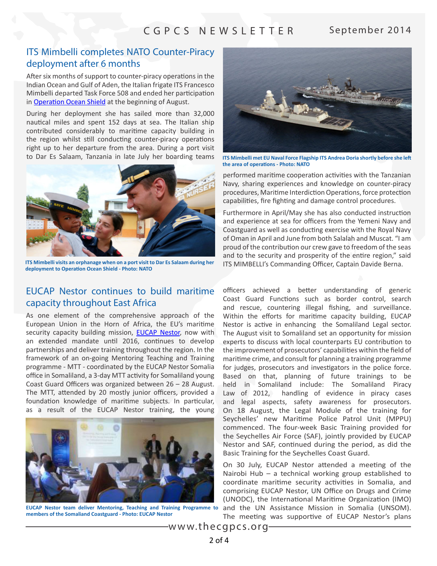#### CGPCS NEWSLETTER September 2014

#### ITS Mimbelli completes NATO Counter-Piracy deployment after 6 months

After six months of support to counter-piracy operations in the Indian Ocean and Gulf of Aden, the Italian frigate ITS Francesco Mimbelli departed Task Force 508 and ended her participation in **[Operation Ocean Shield](http://www.mc.nato.int/ops/Pages/OOS.aspx)** at the beginning of August.

During her deployment she has sailed more than 32,000 nautical miles and spent 152 days at sea. The Italian ship contributed considerably to maritime capacity building in the region whilst still conducting counter-piracy operations right up to her departure from the area. During a port visit to Dar Es Salaam, Tanzania in late July her boarding teams



**ITS Mimbelli visits an orphanage when on a port visit to Dar Es Salaam during her deployment to Operation Ocean Shield - Photo: NATO**

#### EUCAP Nestor continues to build maritime capacity throughout East Africa

As one element of the comprehensive approach of the European Union in the Horn of Africa, the EU's maritime security capacity building mission, **[EUCAP Nestor](http://www.eucap-nestor.eu/)**, now with an extended mandate until 2016, continues to develop partnerships and deliver training throughout the region. In the framework of an on-going Mentoring Teaching and Training programme - MTT - coordinated by the EUCAP Nestor Somalia office in Somaliland, a 3-day MTT activity for Somaliland young Coast Guard Officers was organized between 26 – 28 August. The MTT, attended by 20 mostly junior officers, provided a foundation knowledge of maritime subjects. In particular, as a result of the EUCAP Nestor training, the young



**members of the Somaliand Coastguard - Photo: EUCAP Nestor**



**ITS Mimbelli met EU Naval Force Flagship ITS Andrea Doria shortly before she left the area of operations - Photo: NATO**

performed maritime cooperation activities with the Tanzanian Navy, sharing experiences and knowledge on counter-piracy procedures, Maritime Interdiction Operations, force protection capabilities, fire fighting and damage control procedures.

Furthermore in April/May she has also conducted instruction and experience at sea for officers from the Yemeni Navy and Coastguard as well as conducting exercise with the Royal Navy of Oman in April and June from both Salalah and Muscat. "I am proud of the contribution our crew gave to freedom of the seas and to the security and prosperity of the entire region," said ITS MIMBELLI's Commanding Officer, Captain Davide Berna.

officers achieved a better understanding of generic Coast Guard Functions such as border control, search and rescue, countering illegal fishing, and surveillance. Within the efforts for maritime capacity building, EUCAP Nestor is active in enhancing the Somaliland Legal sector. The August visit to Somaliland set an opportunity for mission experts to discuss with local counterparts EU contribution to the improvement of prosecutors' capabilities within the field of maritime crime, and consult for planning a training programme for judges, prosecutors and investigators in the police force. Based on that, planning of future trainings to be held in Somaliland include: The Somaliland Piracy Law of 2012, handling of evidence in piracy cases and legal aspects, safety awareness for prosecutors. On 18 August, the Legal Module of the training for Seychelles' new Maritime Police Patrol Unit (MPPU) commenced. The four-week Basic Training provided for the Seychelles Air Force (SAF), jointly provided by EUCAP Nestor and SAF, continued during the period, as did the Basic Training for the Seychelles Coast Guard.

On 30 July, EUCAP Nestor attended a meeting of the Nairobi Hub – a technical working group established to coordinate maritime security activities in Somalia, and comprising EUCAP Nestor, UN Office on Drugs and Crime (UNODC), the International Maritime Organization (IMO) EUCAP Nestor team deliver Mentoring, Teaching and Training Programme to and the UN Assistance Mission in Somalia (UNSOM). The meeting was supportive of EUCAP Nestor's plans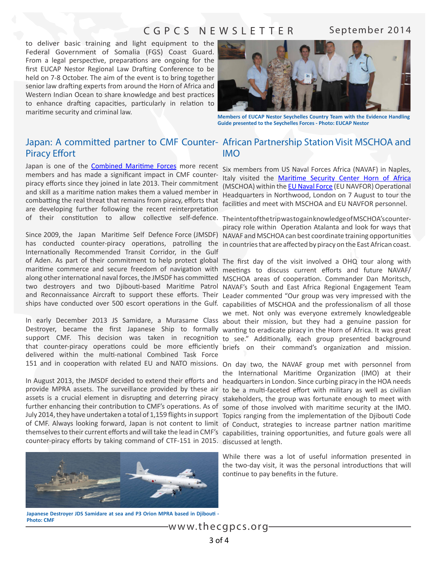### CGPCS NEWSLETTER September 2014

to deliver basic training and light equipment to the Federal Government of Somalia (FGS) Coast Guard. From a legal perspective, preparations are ongoing for the first EUCAP Nestor Regional Law Drafting Conference to be held on 7-8 October. The aim of the event is to bring together senior law drafting experts from around the Horn of Africa and Western Indian Ocean to share knowledge and best practices to enhance drafting capacities, particularly in relation to maritime security and criminal law. **Members of EUCAP Nestor Seychelles Country Team with the Evidence Handling** 



**Guide presented to the Seychelles Forces - Photo: EUCAP Nestor**

## Piracy Effort

Japan is one of the **[Combined Maritime Forces](http://combinedmaritimeforces.com/)** more recent members and has made a significant impact in CMF counterpiracy efforts since they joined in late 2013. Their commitment and skill as a maritime nation makes them a valued member in combatting the real threat that remains from piracy, efforts that are developing further following the recent reinterpretation

Since 2009, the Japan Maritime Self Defence Force (JMSDF) NAVAF and MSCHOA can best coordinate training opportunities has conducted counter-piracy operations, patrolling the incountries that are affected by piracy on the East African coast. Internationally Recommended Transit Corridor, in the Gulf of Aden. As part of their commitment to help protect global The first day of the visit involved a OHQ tour along with maritime commerce and secure freedom of navigation with meetings to discuss current efforts and future NAVAF/ along other international naval forces, the JMSDF has committed MSCHOA areas of cooperation. Commander Dan Moritsch, two destroyers and two Djibouti-based Maritime Patrol NAVAF's South and East Africa Regional Engagement Team and Reconnaissance Aircraft to support these efforts. Their Leader commented "Our group was very impressed with the

Destroyer, became the first Japanese Ship to formally wanting to eradicate piracy in the Horn of Africa. It was great support CMF. This decision was taken in recognition to see." Additionally, each group presented background that counter-piracy operations could be more efficiently briefs on their command's organization and mission. delivered within the multi-national Combined Task Force 151 and in cooperation with related EU and NATO missions. On day two, the NAVAF group met with personnel from

provide MPRA assets. The surveillance provided by these air to be a multi-faceted effort with military as well as civilian assets is a crucial element in disrupting and deterring piracy stakeholders, the group was fortunate enough to meet with further enhancing their contribution to CMF's operations. As of some of those involved with maritime security at the IMO. July 2014, they have undertaken a total of 1,159 flights in support Topics ranging from the implementation of the Djibouti Code of CMF. Always looking forward, Japan is not content to limit of Conduct, strategies to increase partner nation maritime themselves to their current efforts and will take the lead in CMF's capabilities, training opportunities, and future goals were all counter-piracy efforts by taking command of CTF-151 in 2015. discussed at length.



Six members from US Naval Forces Africa (NAVAF) in Naples, Italy visited the [Maritime Security Center Horn of Africa](http://www.mschoa.org/) (MSCHOA) within the **EU Naval Force** (EU NAVFOR) Operational Headquarters in Northwood, London on 7 August to tour the facilities and meet with MSCHOA and EU NAVFOR personnel.

of their constitution to allow collective self-defence. TheintentofthetripwastogainknowledgeofMSCHOA's counterpiracy role within Operation Atalanta and look for ways that

ships have conducted over 500 escort operations in the Gulf. capabilities of MSCHOA and the professionalism of all those In early December 2013 JS Samidare, a Murasame Class about their mission, but they had a genuine passion for we met. Not only was everyone extremely knowledgeable

In August 2013, the JMSDF decided to extend their efforts and headquarters in London. Since curbing piracy in the HOA needs the International Maritime Organization (IMO) at their

> While there was a lot of useful information presented in the two-day visit, it was the personal introductions that will continue to pay benefits in the future.